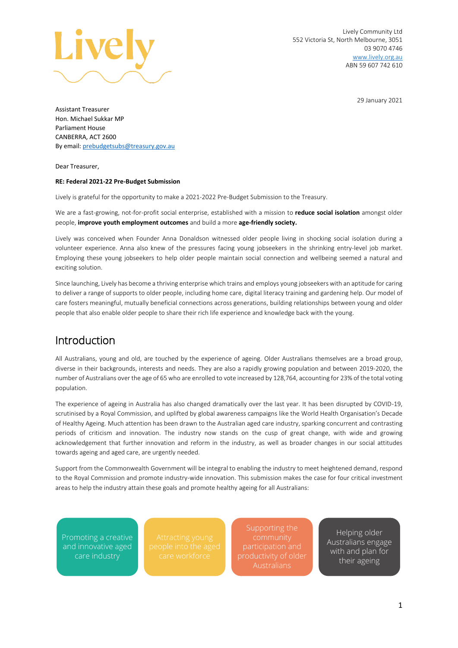

Lively Community Ltd 552 Victoria St, North Melbourne, 3051 03 9070 4746 [www.lively.org.au](http://www.lively.org.au/) ABN 59 607 742 610

29 January 2021

Assistant Treasurer Hon. Michael Sukkar MP Parliament House CANBERRA, ACT 2600 By email[: prebudgetsubs@treasury.gov.au](mailto:prebudgetsubs@treasury.gov.au)

Dear Treasurer,

#### **RE: Federal 2021-22 Pre-Budget Submission**

Lively is grateful for the opportunity to make a 2021-2022 Pre-Budget Submission to the Treasury.

We are a fast-growing, not-for-profit social enterprise, established with a mission to **reduce social isolation** amongst older people, **improve youth employment outcomes** and build a more **age-friendly society.**

Lively was conceived when Founder Anna Donaldson witnessed older people living in shocking social isolation during a volunteer experience. Anna also knew of the pressures facing young jobseekers in the shrinking entry-level job market. Employing these young jobseekers to help older people maintain social connection and wellbeing seemed a natural and exciting solution.

Since launching, Lively has become a thriving enterprise which trains and employs young jobseekerswith an aptitude for caring to deliver a range of supports to older people, including home care, digital literacy training and gardening help. Our model of care fosters meaningful, mutually beneficial connections across generations, building relationships between young and older people that also enable older people to share their rich life experience and knowledge back with the young.

## Introduction

All Australians, young and old, are touched by the experience of ageing. Older Australians themselves are a broad group, diverse in their backgrounds, interests and needs. They are also a rapidly growing population and between 2019-2020, the number of Australians over the age of 65 who are enrolled to vote increased by 128,764, accounting for 23% of the total voting population.

The experience of ageing in Australia has also changed dramatically over the last year. It has been disrupted by COVID-19, scrutinised by a Royal Commission, and uplifted by global awareness campaigns like the World Health Organisation's Decade of Healthy Ageing. Much attention has been drawn to the Australian aged care industry, sparking concurrent and contrasting periods of criticism and innovation. The industry now stands on the cusp of great change, with wide and growing acknowledgement that further innovation and reform in the industry, as well as broader changes in our social attitudes towards ageing and aged care, are urgently needed.

Support from the Commonwealth Government will be integral to enabling the industry to meet heightened demand, respond to the Royal Commission and promote industry-wide innovation. This submission makes the case for four critical investment areas to help the industry attain these goals and promote healthy ageing for all Australians:

Promoting a creative and innovative aged care industry

Supporting the community participation and productivity of older

Helping older Australians engage with and plan for their ageing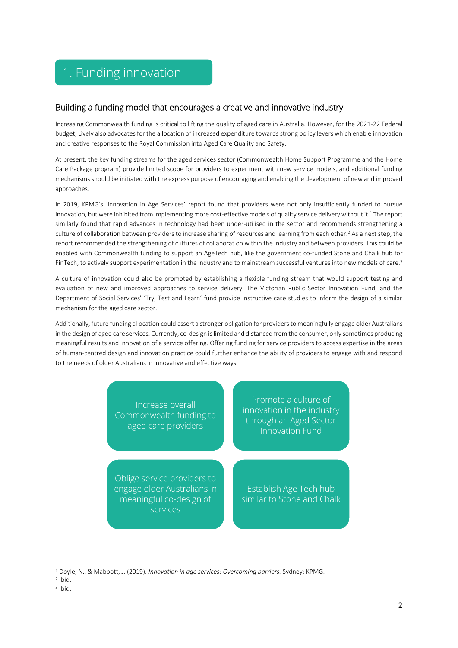## 1. Funding innovation

## Building a funding model that encourages a creative and innovative industry.

Increasing Commonwealth funding is critical to lifting the quality of aged care in Australia. However, for the 2021-22 Federal budget, Lively also advocates for the allocation of increased expenditure towards strong policy levers which enable innovation and creative responses to the Royal Commission into Aged Care Quality and Safety.

At present, the key funding streams for the aged services sector (Commonwealth Home Support Programme and the Home Care Package program) provide limited scope for providers to experiment with new service models, and additional funding mechanisms should be initiated with the express purpose of encouraging and enabling the development of new and improved approaches.

In 2019, KPMG's 'Innovation in Age Services' report found that providers were not only insufficiently funded to pursue innovation, but were inhibited from implementing more cost-effective models of quality service delivery without it.<sup>1</sup> The report similarly found that rapid advances in technology had been under-utilised in the sector and recommends strengthening a culture of collaboration between providers to increase sharing of resources and learning from each other.<sup>2</sup> As a next step, the report recommended the strengthening of cultures of collaboration within the industry and between providers. This could be enabled with Commonwealth funding to support an AgeTech hub, like the government co-funded Stone and Chalk hub for FinTech, to actively support experimentation in the industry and to mainstream successful ventures into new models of care. 3

A culture of innovation could also be promoted by establishing a flexible funding stream that would support testing and evaluation of new and improved approaches to service delivery. The Victorian Public Sector Innovation Fund, and the Department of Social Services' 'Try, Test and Learn' fund provide instructive case studies to inform the design of a similar mechanism for the aged care sector.

Additionally, future funding allocation could assert a stronger obligation for providers to meaningfully engage older Australians in the design of aged care services. Currently, co-design is limited and distanced from the consumer, only sometimes producing meaningful results and innovation of a service offering. Offering funding for service providers to access expertise in the areas of human-centred design and innovation practice could further enhance the ability of providers to engage with and respond to the needs of older Australians in innovative and effective ways.



<sup>1</sup> Doyle, N., & Mabbott, J. (2019). *Innovation in age services: Overcoming barriers.* Sydney: KPMG.

<sup>2</sup> Ibid. 3 Ibid.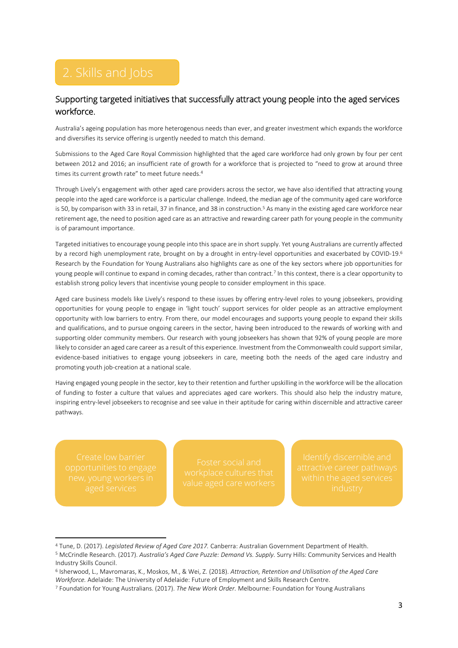## Supporting targeted initiatives that successfully attract young people into the aged services workforce.

Australia's ageing population has more heterogenous needs than ever, and greater investment which expands the workforce and diversifies its service offering is urgently needed to match this demand.

Submissions to the Aged Care Royal Commission highlighted that the aged care workforce had only grown by four per cent between 2012 and 2016; an insufficient rate of growth for a workforce that is projected to "need to grow at around three times its current growth rate" to meet future needs.<sup>4</sup>

Through Lively's engagement with other aged care providers across the sector, we have also identified that attracting young people into the aged care workforce is a particular challenge. Indeed, the median age of the community aged care workforce is 50, by comparison with 33 in retail, 37 in finance, and 38 in construction.<sup>5</sup> As many in the existing aged care workforce near retirement age, the need to position aged care as an attractive and rewarding career path for young people in the community is of paramount importance.

Targeted initiatives to encourage young people into this space are in short supply. Yet young Australians are currently affected by a record high unemployment rate, brought on by a drought in entry-level opportunities and exacerbated by COVID-19.<sup>6</sup> Research by the Foundation for Young Australians also highlights care as one of the key sectors where job opportunities for young people will continue to expand in coming decades, rather than contract.<sup>7</sup> In this context, there is a clear opportunity to establish strong policy levers that incentivise young people to consider employment in this space.

Aged care business models like Lively's respond to these issues by offering entry-level roles to young jobseekers, providing opportunities for young people to engage in 'light touch' support services for older people as an attractive employment opportunity with low barriers to entry. From there, our model encourages and supports young people to expand their skills and qualifications, and to pursue ongoing careers in the sector, having been introduced to the rewards of working with and supporting older community members. Our research with young jobseekers has shown that 92% of young people are more likely to consider an aged care career as a result of this experience. Investment from the Commonwealth could support similar, evidence-based initiatives to engage young jobseekers in care, meeting both the needs of the aged care industry and promoting youth job-creation at a national scale.

Having engaged young people in the sector, key to their retention and further upskilling in the workforce will be the allocation of funding to foster a culture that values and appreciates aged care workers. This should also help the industry mature, inspiring entry-level jobseekers to recognise and see value in their aptitude for caring within discernible and attractive career pathways.

<sup>4</sup> Tune, D. (2017). *Legislated Review of Aged Care 2017.* Canberra: Australian Government Department of Health. <sup>5</sup> McCrindle Research. (2017). *Australia's Aged Care Puzzle: Demand Vs. Supply.* Surry Hills: Community Services and Health Industry Skills Council.

<sup>6</sup> Isherwood, L., Mavromaras, K., Moskos, M., & Wei, Z. (2018). *Attraction, Retention and Utilisation of the Aged Care Workforce.* Adelaide: The University of Adelaide: Future of Employment and Skills Research Centre.

<sup>7</sup> Foundation for Young Australians. (2017). *The New Work Order.* Melbourne: Foundation for Young Australians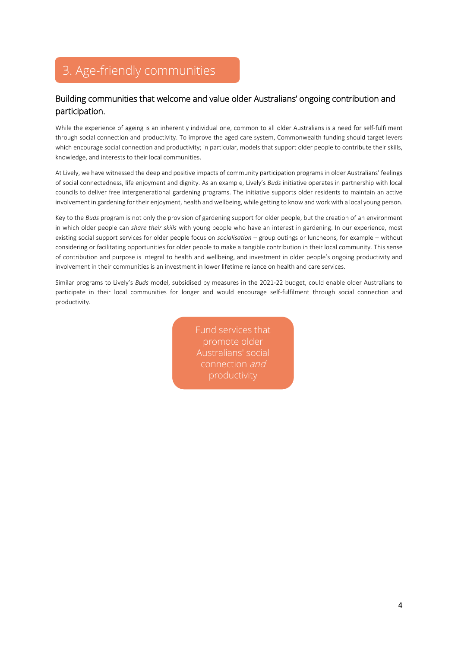# 3. Age-friendly communities

## Building communities that welcome and value older Australians' ongoing contribution and participation.

While the experience of ageing is an inherently individual one, common to all older Australians is a need for self-fulfilment through social connection and productivity. To improve the aged care system, Commonwealth funding should target levers which encourage social connection and productivity; in particular, models that support older people to contribute their skills, knowledge, and interests to their local communities.

At Lively, we have witnessed the deep and positive impacts of community participation programs in older Australians' feelings of social connectedness, life enjoyment and dignity. As an example, Lively's *Buds* initiative operates in partnership with local councils to deliver free intergenerational gardening programs. The initiative supports older residents to maintain an active involvement in gardening for their enjoyment, health and wellbeing, while getting to know and work with a local young person.

Key to the *Buds* program is not only the provision of gardening support for older people, but the creation of an environment in which older people can *share their skills* with young people who have an interest in gardening. In our experience, most existing social support services for older people focus on *socialisation* – group outings or luncheons, for example – without considering or facilitating opportunities for older people to make a tangible contribution in their local community. This sense of contribution and purpose is integral to health and wellbeing, and investment in older people's ongoing productivity and involvement in their communities is an investment in lower lifetime reliance on health and care services.

Similar programs to Lively's *Buds* model, subsidised by measures in the 2021-22 budget, could enable older Australians to participate in their local communities for longer and would encourage self-fulfilment through social connection and productivity.

> Fund services that promote older Australians' social connection and productivity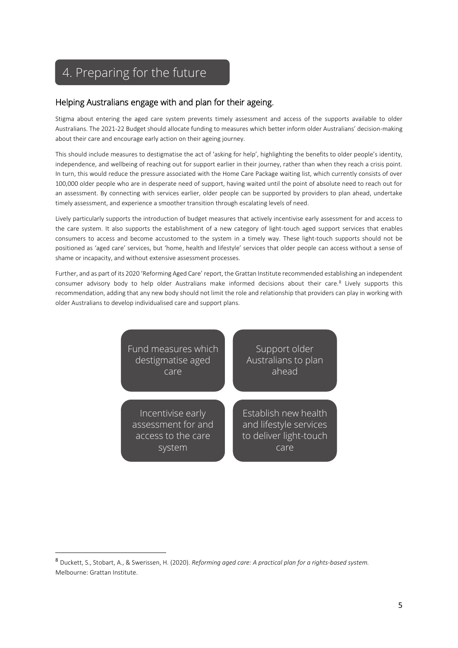# 4. Preparing for the future

#### Helping Australians engage with and plan for their ageing.

Stigma about entering the aged care system prevents timely assessment and access of the supports available to older Australians. The 2021-22 Budget should allocate funding to measures which better inform older Australians' decision-making about their care and encourage early action on their ageing journey.

This should include measures to destigmatise the act of 'asking for help', highlighting the benefits to older people's identity, independence, and wellbeing of reaching out for support earlier in their journey, rather than when they reach a crisis point. In turn, this would reduce the pressure associated with the Home Care Package waiting list, which currently consists of over 100,000 older people who are in desperate need of support, having waited until the point of absolute need to reach out for an assessment. By connecting with services earlier, older people can be supported by providers to plan ahead, undertake timely assessment, and experience a smoother transition through escalating levels of need.

Lively particularly supports the introduction of budget measures that actively incentivise early assessment for and access to the care system. It also supports the establishment of a new category of light-touch aged support services that enables consumers to access and become accustomed to the system in a timely way. These light-touch supports should not be positioned as 'aged care' services, but 'home, health and lifestyle' services that older people can access without a sense of shame or incapacity, and without extensive assessment processes.

Further, and as part of its 2020 'Reforming Aged Care' report, the Grattan Institute recommended establishing an independent consumer advisory body to help older Australians make informed decisions about their care.<sup>8</sup> Lively supports this recommendation, adding that any new body should not limit the role and relationship that providers can play in working with older Australians to develop individualised care and support plans.

| Fund measures which | Support older          |
|---------------------|------------------------|
| destigmatise aged   | Australians to plan    |
| care                | ahead                  |
| Incentivise early   | Establish new health   |
| assessment for and  | and lifestyle services |
| access to the care  | to deliver light-touch |
| system              | care                   |

<sup>8</sup> Duckett, S., Stobart, A., & Swerissen, H. (2020). *Reforming aged care: A practical plan for a rights-based system.* Melbourne: Grattan Institute.